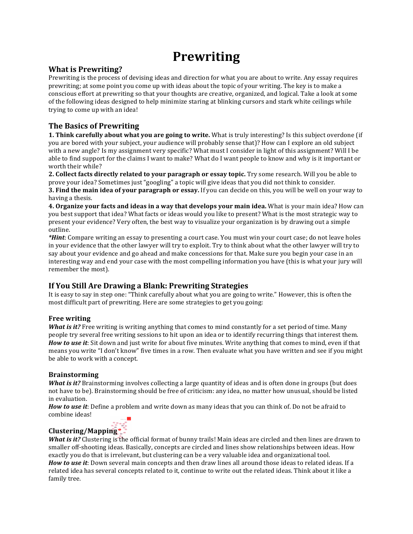# **Prewriting**

## **What is Prewriting?**

Prewriting is the process of devising ideas and direction for what you are about to write. Any essay requires prewriting; at some point you come up with ideas about the topic of your writing. The key is to make a conscious effort at prewriting so that your thoughts are creative, organized, and logical. Take a look at some of the following ideas designed to help minimize staring at blinking cursors and stark white ceilings while trying to come up with an idea!

## **The Basics of Prewriting**

**1. Think carefully about what you are going to write.** What is truly interesting? Is this subject overdone (if you are bored with your subject, your audience will probably sense that)? How can I explore an old subject with a new angle? Is my assignment very specific? What must I consider in light of this assignment? Will I be able to find support for the claims I want to make? What do I want people to know and why is it important or worth their while?

**2. Collect facts directly related to your paragraph or essay topic.** Try some research. Will you be able to prove your idea? Sometimes just "googling" a topic will give ideas that you did not think to consider. **3. Find the main idea of your paragraph or essay.** If you can decide on this, you will be well on your way to having a thesis.

**4. Organize your facts and ideas in a way that develops your main idea.** What is your main idea? How can you)best support that idea? What facts or ideas would you like to present? What is the most strategic way to present your evidence? Very often, the best way to visualize your organization is by drawing out a simple outline.

*\*Hint*: Compare writing an essay to presenting a court case. You must win your court case; do not leave holes in your evidence that the other lawyer will try to exploit. Try to think about what the other lawyer will try to say about your evidence and go ahead and make concessions for that. Make sure you begin your case in an interesting way and end your case with the most compelling information you have (this is what your jury will) remember the most).

## **If)You)Still)Are)Drawing)a)Blank:)Prewriting)Strategies**

It is easy to say in step one: "Think carefully about what you are going to write." However, this is often the most difficult part of prewriting. Here are some strategies to get you going:

## **Free)writing**

*What is it?* Free writing is writing anything that comes to mind constantly for a set period of time. Many people try several free writing sessions to hit upon an idea or to identify recurring things that interest them. *How to use it*: Sit down and just write for about five minutes. Write anything that comes to mind, even if that means you write "I don't know" five times in a row. Then evaluate what you have written and see if you might be able to work with a concept.

## **Brainstorming**

*What is it?* Brainstorming involves collecting a large quantity of ideas and is often done in groups (but does) not have to be). Brainstorming should be free of criticism: any idea, no matter how unusual, should be listed in evaluation.

*How to use it*: Define a problem and write down as many ideas that you can think of. Do not be afraid to combine ideas!

## **Clustering/Mapping**

*What is it?* Clustering is the official format of bunny trails! Main ideas are circled and then lines are drawn to smaller off-shooting ideas. Basically, concepts are circled and lines show relationships between ideas. How exactly you do that is irrelevant, but clustering can be a very valuable idea and organizational tool. *How to use it*: Down several main concepts and then draw lines all around those ideas to related ideas. If a related idea has several concepts related to it, continue to write out the related ideas. Think about it like a family tree.